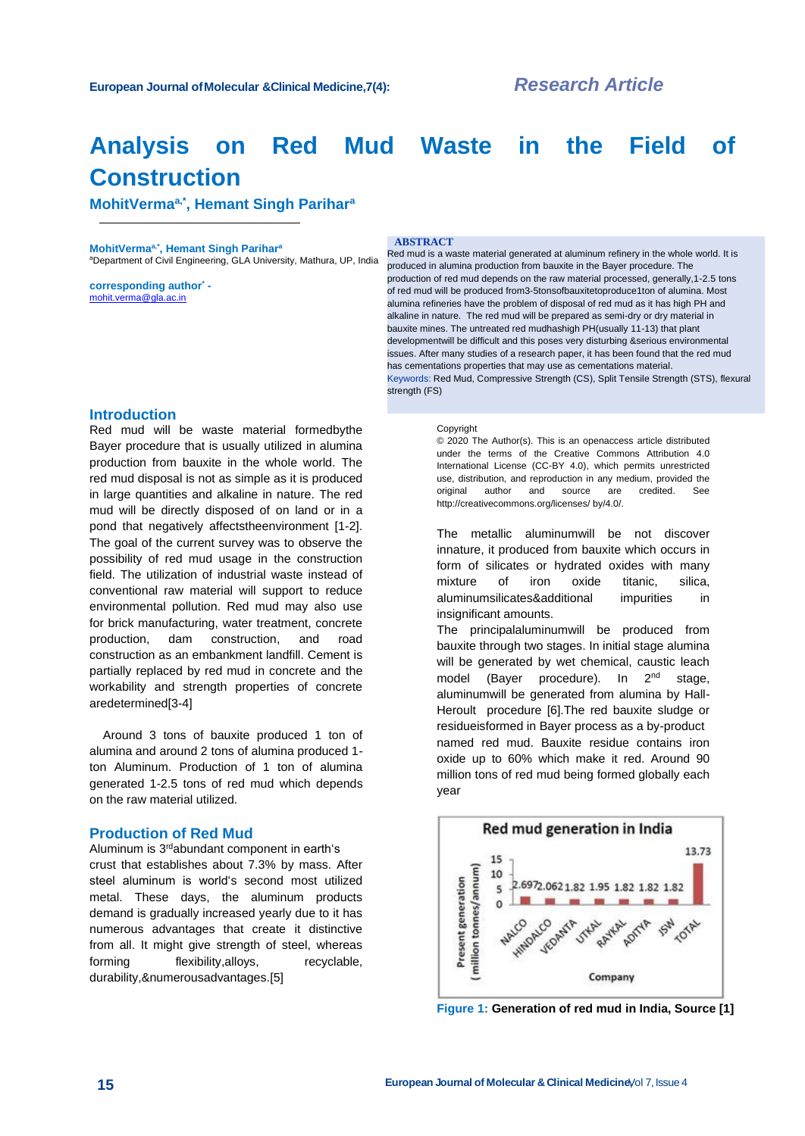# **Analysis on Red Mud Waste in the Field of Construction**

**MohitVermaa,\*, Hemant Singh Parihar<sup>a</sup>**

**MohitVermaa,\*, Hemant Singh Parihar<sup>a</sup>** aDepartment of Civil Engineering, GLA University, Mathura, UP, India

**corresponding author\***  [mohit.verma@gla.ac.in](mailto:mohit.verma@gla.ac.in)

#### **ABSTRACT**

Red mud is a waste material generated at aluminum refinery in the whole world. It is produced in alumina production from bauxite in the Bayer procedure. The production of red mud depends on the raw material processed, generally,1-2.5 tons of red mud will be produced from3-5tonsofbauxitetoproduce1ton of alumina. Most alumina refineries have the problem of disposal of red mud as it has high PH and alkaline in nature. The red mud will be prepared as semi-dry or dry material in bauxite mines. The untreated red mudhashigh PH(usually 11-13) that plant developmentwill be difficult and this poses very disturbing &serious environmental issues. After many studies of a research paper, it has been found that the red mud has cementations properties that may use as cementations material. Keywords: Red Mud, Compressive Strength (CS), Split Tensile Strength (STS), flexural strength (FS)

#### **Introduction**

Red mud will be waste material formedbythe Bayer procedure that is usually utilized in alumina production from bauxite in the whole world. The red mud disposal is not as simple as it is produced in large quantities and alkaline in nature. The red mud will be directly disposed of on land or in a pond that negatively affectstheenvironment [1-2]. The goal of the current survey was to observe the possibility of red mud usage in the construction field. The utilization of industrial waste instead of conventional raw material will support to reduce environmental pollution. Red mud may also use for brick manufacturing, water treatment, concrete production, dam construction, and road construction as an embankment landfill. Cement is partially replaced by red mud in concrete and the workability and strength properties of concrete aredetermined[3-4]

Around 3 tons of bauxite produced 1 ton of alumina and around 2 tons of alumina produced 1 ton Aluminum. Production of 1 ton of alumina generated 1-2.5 tons of red mud which depends on the raw material utilized.

#### **Production of Red Mud**

Aluminum is 3 rdabundant component in earth's crust that establishes about 7.3% by mass. After steel aluminum is world's second most utilized metal. These days, the aluminum products demand is gradually increased yearly due to it has numerous advantages that create it distinctive from all. It might give strength of steel, whereas forming flexibility, alloys, recyclable, durability,&numerousadvantages.[5]

#### **Copyright**

© 2020 The Author(s). This is an openaccess article distributed under the terms of the Creative Commons Attribution 4.0 International License (CC-BY 4.0), which permits unrestricted use, distribution, and reproduction in any medium, provided the original author and source are credited. See [http://creativecommons.org/licenses/ b](http://creativecommons.org/licenses/)y/4.0/.

The metallic aluminumwill be not discover innature, it produced from bauxite which occurs in form of silicates or hydrated oxides with many mixture of iron oxide titanic, silica, aluminumsilicates&additional impurities in insignificant amounts.

The principalaluminumwill be produced from bauxite through two stages. In initial stage alumina will be generated by wet chemical, caustic leach model (Bayer procedure). In 2<sup>nd</sup> stage, aluminumwill be generated from alumina by Hall-Heroult procedure [6].The red bauxite sludge or residueisformed in Bayer process as a by-product named red mud. Bauxite residue contains iron oxide up to 60% which make it red. Around 90 million tons of red mud being formed globally each year



**Figure 1: Generation of red mud in India, Source [1]**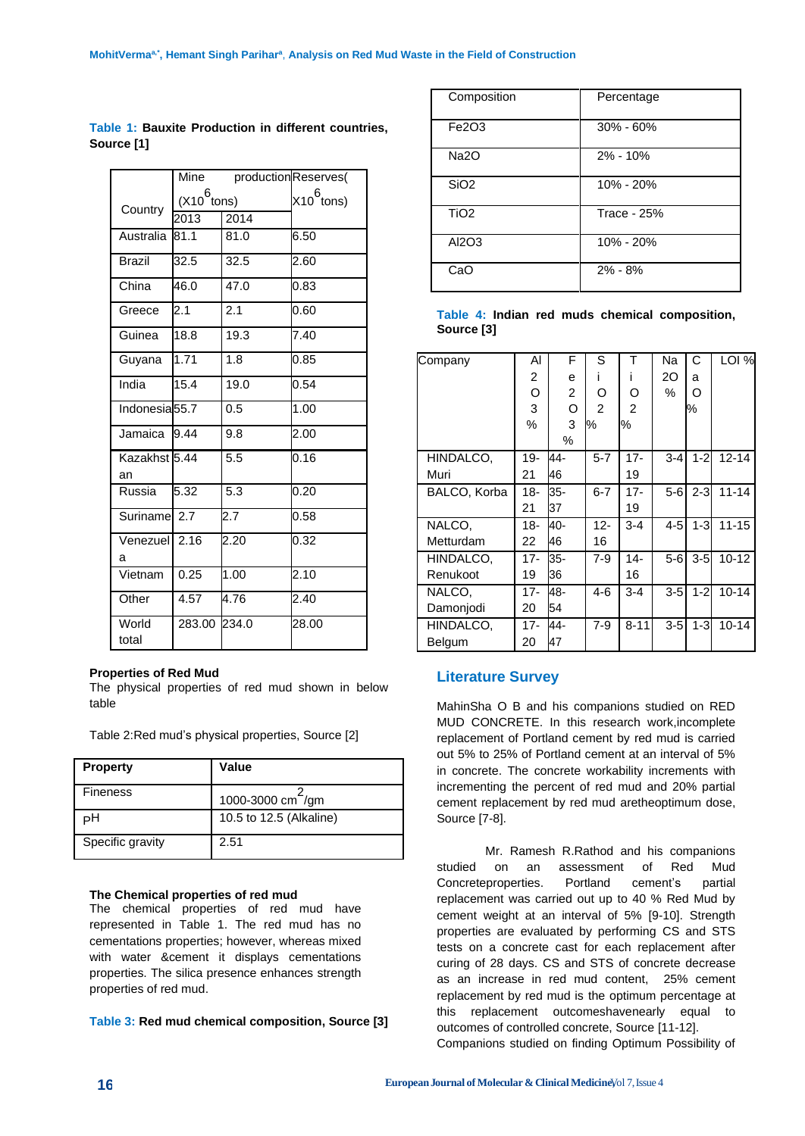|                           | Mine           | productionReserves( |                        |  |  |
|---------------------------|----------------|---------------------|------------------------|--|--|
|                           | $(X10^6$ tons) |                     | X10 <sup>6</sup> tons) |  |  |
| Country                   | 2013           | 2014                |                        |  |  |
| Australia                 | 81.1           | 81.0                | 6.50                   |  |  |
| <b>Brazil</b>             | 32.5           | 32.5                | 2.60                   |  |  |
| China                     | 46.0           | 47.0                | 0.83                   |  |  |
| Greece                    | 2.1            | 2.1                 | 0.60                   |  |  |
| Guinea                    | 18.8           | 19.3                | 7.40                   |  |  |
| Guyana                    | 1.71           | 1.8                 | 0.85                   |  |  |
| India                     | 15.4           | 19.0                | 0.54                   |  |  |
| Indonesia <sub>55.7</sub> |                | 0.5                 | 1.00                   |  |  |
| Jamaica                   | 9.44           | 9.8                 | 2.00                   |  |  |
| Kazakhst 5.44<br>an       |                | 5.5                 | 0.16                   |  |  |
| Russia                    | 5.32           | 5.3                 | 0.20                   |  |  |
| Suriname 2.7              |                | 2.7                 | 0.58                   |  |  |
| Venezuell<br>а            | 2.16           | 2.20                | 0.32                   |  |  |
| Vietnam                   | 0.25           | 1.00                | 2.10                   |  |  |
| Other                     | 4.57           | 4.76                | 2.40                   |  |  |
| World<br>total            | 283.00         | 234.0               | 28.00                  |  |  |

**Table 1: Bauxite Production in different countries, Source [1]**

#### **Properties of Red Mud**

The physical properties of red mud shown in below table

Table 2:Red mud's physical properties, Source [2]

| <b>Property</b>  | Value                         |
|------------------|-------------------------------|
| <b>Fineness</b>  | 1000-3000 cm <sup>-/</sup> gm |
| н                | 10.5 to 12.5 (Alkaline)       |
| Specific gravity | 2.51                          |

#### **The Chemical properties of red mud**

The chemical properties of red mud have represented in Table 1. The red mud has no cementations properties; however, whereas mixed with water &cement it displays cementations properties. The silica presence enhances strength properties of red mud.

# **Table 3: Red mud chemical composition, Source [3]**

| Composition      | Percentage         |
|------------------|--------------------|
| Fe2O3            | $30\% - 60\%$      |
| <b>Na2O</b>      | 2% - 10%           |
| SiO <sub>2</sub> | 10% - 20%          |
| TiO <sub>2</sub> | <b>Trace - 25%</b> |
| AI2O3            | 10% - 20%          |
| CaO              | $2\% - 8\%$        |

**Table 4: Indian red muds chemical composition, Source [3]**

| Company      | Al             | F    | S              | т        | Na      | C       | LOI %     |
|--------------|----------------|------|----------------|----------|---------|---------|-----------|
|              | $\overline{c}$ | e    | L              | ı        | 20      | a       |           |
|              | O              | 2    | O              | O        | %       | O       |           |
|              | 3              | O    | $\mathfrak{p}$ | 2        |         | ℅       |           |
|              | %              | 3    | ℅              | %        |         |         |           |
|              |                | $\%$ |                |          |         |         |           |
| HINDALCO,    | $19-$          | 44-  | $5 - 7$        | $17 -$   | $3 - 4$ | $1 - 2$ | $12 - 14$ |
| Muri         | 21             | 46   |                | 19       |         |         |           |
| BALCO, Korba | 18-            | 35-  | $6 - 7$        | $17 -$   | $5-6$   | $2 - 3$ | $11 - 14$ |
|              | 21             | 37   |                | 19       |         |         |           |
| NALCO,       | 18-            | 40-  | $12 -$         | $3 - 4$  | $4 - 5$ | $1-3$   | $11 - 15$ |
| Metturdam    | 22             | 46   | 16             |          |         |         |           |
| HINDALCO,    | $17 -$         | 35-  | $7-9$          | $14 -$   | $5-6$   | $3-5$   | $10 - 12$ |
| Renukoot     | 19             | 36   |                | 16       |         |         |           |
| NALCO.       | $17 -$         | 48-  | $4-6$          | $3 - 4$  | $3-5$   | $1 - 2$ | $10 - 14$ |
| Damonjodi    | 20             | 54   |                |          |         |         |           |
| HINDALCO,    | 17-            | 44-  | $7-9$          | $8 - 11$ | $3-5$   | $1-3$   | $10 - 14$ |
| Belgum       | 20             | 47   |                |          |         |         |           |

# **Literature Survey**

MahinSha O B and his companions studied on RED MUD CONCRETE. In this research work,incomplete replacement of Portland cement by red mud is carried out 5% to 25% of Portland cement at an interval of 5% in concrete. The concrete workability increments with incrementing the percent of red mud and 20% partial cement replacement by red mud aretheoptimum dose, Source [7-8].

Mr. Ramesh R.Rathod and his companions studied on an assessment of Red Mud Concreteproperties. Portland cement's partial replacement was carried out up to 40 % Red Mud by cement weight at an interval of 5% [9-10]. Strength properties are evaluated by performing CS and STS tests on a concrete cast for each replacement after curing of 28 days. CS and STS of concrete decrease as an increase in red mud content, 25% cement replacement by red mud is the optimum percentage at this replacement outcomeshavenearly equal to outcomes of controlled concrete, Source [11-12].

Companions studied on finding Optimum Possibility of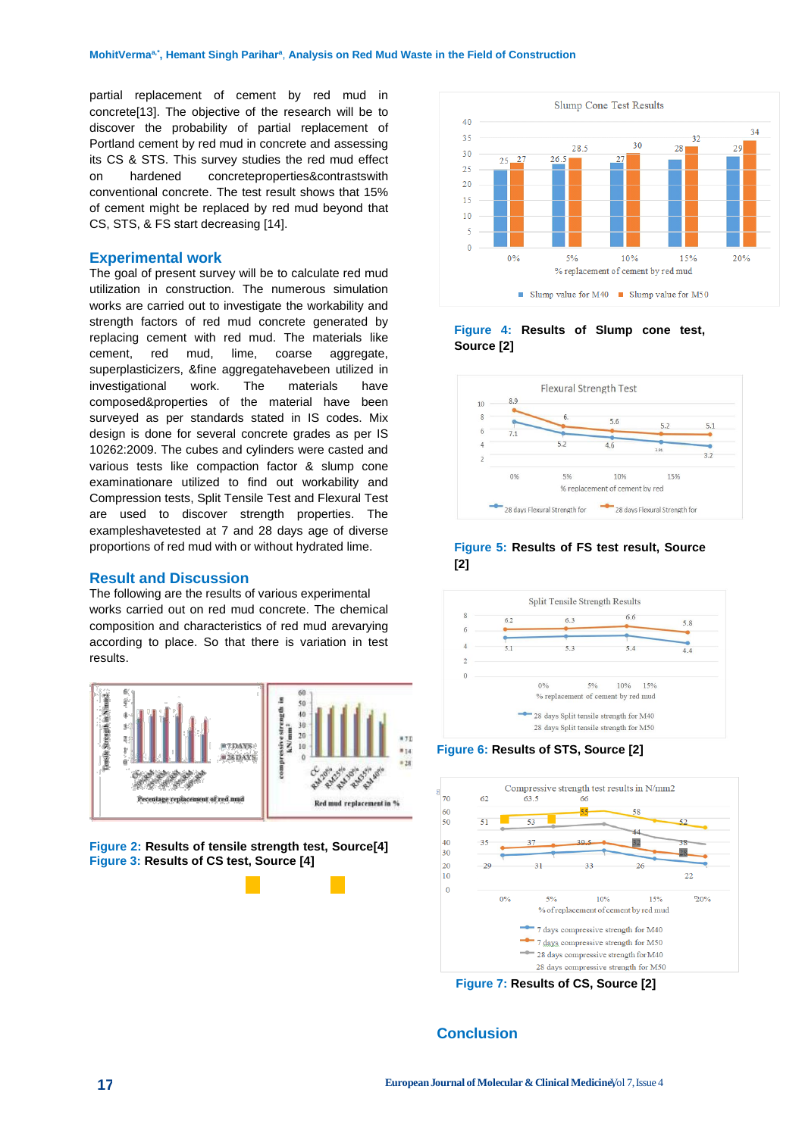partial replacement of cement by red mud in concrete[13]. The objective of the research will be to discover the probability of partial replacement of Portland cement by red mud in concrete and assessing its CS & STS. This survey studies the red mud effect on hardened concreteproperties&contrastswith conventional concrete. The test result shows that 15% of cement might be replaced by red mud beyond that CS, STS, & FS start decreasing [14].

# **Experimental work**

The goal of present survey will be to calculate red mud utilization in construction. The numerous simulation works are carried out to investigate the workability and strength factors of red mud concrete generated by replacing cement with red mud. The materials like cement, red mud, lime, coarse aggregate, superplasticizers, &fine aggregatehavebeen utilized in investigational work. The materials have composed&properties of the material have been surveyed as per standards stated in IS codes. Mix design is done for several concrete grades as per IS 10262:2009. The cubes and cylinders were casted and various tests like compaction factor & slump cone examinationare utilized to find out workability and Compression tests, Split Tensile Test and Flexural Test are used to discover strength properties. The exampleshavetested at 7 and 28 days age of diverse proportions of red mud with or without hydrated lime.

#### **Result and Discussion**

The following are the results of various experimental works carried out on red mud concrete. The chemical composition and characteristics of red mud arevarying according to place. So that there is variation in test results.







## **Figure 4: Results of Slump cone test, Source [2]**



## **Figure 5: Results of FS test result, Source [2]**



#### **Figure 6: Results of STS, Source [2]**



**Figure 7: Results of CS, Source [2]**

# **Conclusion**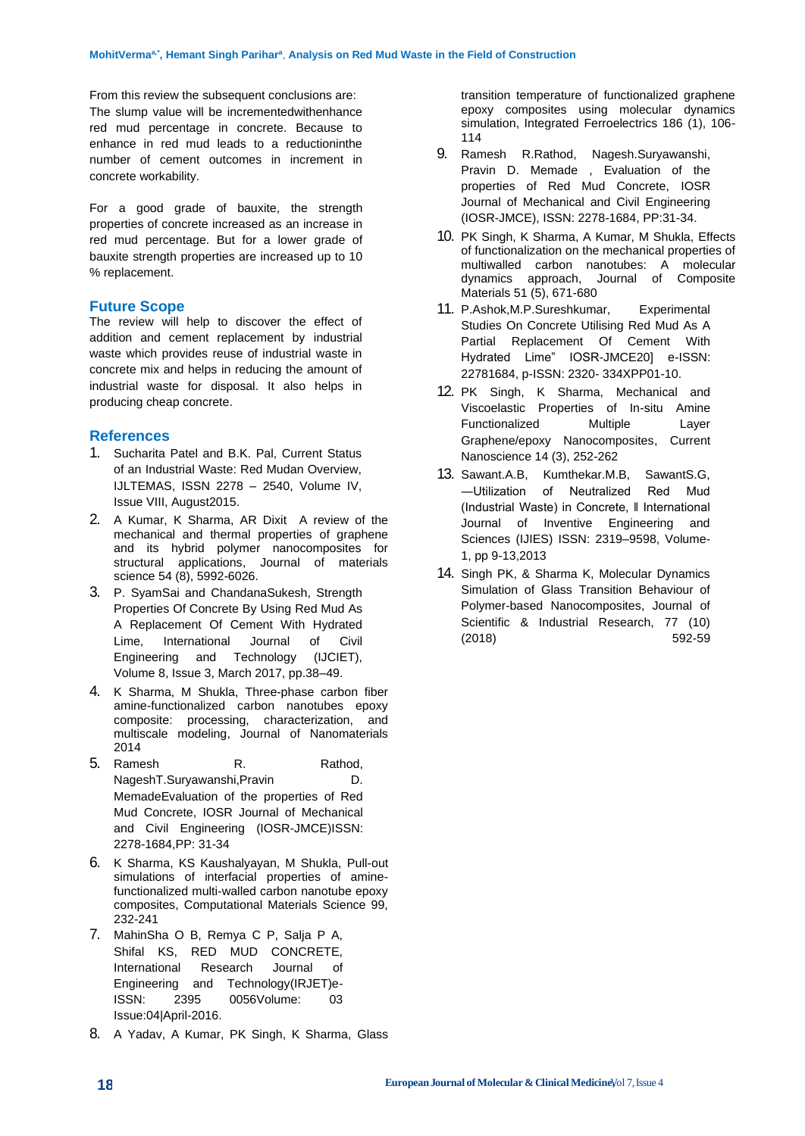From this review the subsequent conclusions are: The slump value will be incrementedwithenhance red mud percentage in concrete. Because to enhance in red mud leads to a reductioninthe number of cement outcomes in increment in concrete workability.

For a good grade of bauxite, the strength properties of concrete increased as an increase in red mud percentage. But for a lower grade of bauxite strength properties are increased up to 10 % replacement.

# **Future Scope**

The review will help to discover the effect of addition and cement replacement by industrial waste which provides reuse of industrial waste in concrete mix and helps in reducing the amount of industrial waste for disposal. It also helps in producing cheap concrete.

# **References**

- 1. Sucharita Patel and B.K. Pal, Current Status of an Industrial Waste: Red Mudan Overview, IJLTEMAS, ISSN 2278 – 2540, Volume IV, Issue VIII, August2015.
- 2. A Kumar, K Sharma, AR Dixit [A review of the](javascript:void(0))  [mechanical and thermal properties](javascript:void(0)) of graphene [and its hybrid polymer nanocomposites for](javascript:void(0))  [structural applications,](javascript:void(0)) Journal of materials science 54 (8), 5992-6026.
- 3. P. SyamSai and ChandanaSukesh, Strength Properties Of Concrete By Using Red Mud As A Replacement Of Cement With Hydrated Lime, International Journal of Civil Engineering and Technology (IJCIET), Volume 8, Issue 3, March 2017, pp.38–49.
- 4. K Sharma, M Shukla, [Three-phase carbon fiber](javascript:void(0))  [amine-functionalized carbon nanotubes epoxy](javascript:void(0))  [composite: processing, characterization, and](javascript:void(0))  [multiscale modeling,](javascript:void(0)) Journal of Nanomaterials 2014
- 5. Ramesh R. Rathod, NageshT.Suryawanshi,Pravin D. MemadeEvaluation of the properties of Red Mud Concrete, IOSR Journal of Mechanical and Civil Engineering (IOSR-JMCE)ISSN: 2278-1684,PP: 31-34
- 6. K Sharma, KS Kaushalyayan, M Shukla, [Pull-out](javascript:void(0))  [simulations of interfacial properties of amine](javascript:void(0))[functionalized multi-walled carbon nanotube epoxy](javascript:void(0))  [composites,](javascript:void(0)) Computational Materials Science 99, 232-241
- 7. MahinSha O B, Remya C P, Salja P A, Shifal KS, RED MUD CONCRETE, International Research Journal of Engineering and Technology(IRJET)e-ISSN: 2395 0056Volume: 03 Issue:04|April-2016.
- 8. A Yadav, A Kumar, PK Singh, K Sharma, [Glass](javascript:void(0))

[transition temperature of functionalized graphene](javascript:void(0))  [epoxy composites using molecular dynamics](javascript:void(0))  [simulation,](javascript:void(0)) Integrated Ferroelectrics 186 (1), 106- 114

- 9. Ramesh R.Rathod, Nagesh.Suryawanshi, Pravin D. Memade , Evaluation of the properties of Red Mud Concrete, IOSR Journal of Mechanical and Civil Engineering (IOSR-JMCE), ISSN: 2278-1684, PP:31-34.
- 10. PK Singh, K Sharma, A Kumar, M Shukla, [Effects](javascript:void(0))  [of functionalization on the mechanical properties of](javascript:void(0))  [multiwalled carbon nanotubes: A](javascript:void(0)) molecular [dynamics approach,](javascript:void(0)) Journal of Composite Materials 51 (5), 671-680
- 11. P.Ashok,M.P.Sureshkumar, Experimental Studies On Concrete Utilising Red Mud As A Partial Replacement Of Cement With Hydrated Lime" IOSR-JMCE20] e-ISSN: 22781684, p-ISSN: 2320- 334XPP01-10.
- 12. PK Singh, K Sharma, [Mechanical and](javascript:void(0))  [Viscoelastic Properties of In-situ Amine](javascript:void(0))  [Functionalized Multiple Layer](javascript:void(0))  [Graphene/epoxy Nanocomposites,](javascript:void(0)) Current Nanoscience 14 (3), 252-262
- 13. Sawant.A.B, Kumthekar.M.B, SawantS.G, ―Utilization of Neutralized Red Mud (Industrial Waste) in Concrete, ‖ International Journal of Inventive Engineering and Sciences (IJIES) ISSN: 2319–9598, Volume-1, pp 9-13,2013
- 14. Singh PK, & Sharma K, Molecular Dynamics Simulation of Glass Transition Behaviour of Polymer-based Nanocomposites, Journal of Scientific & Industrial Research, 77 (10) (2018) 592-59